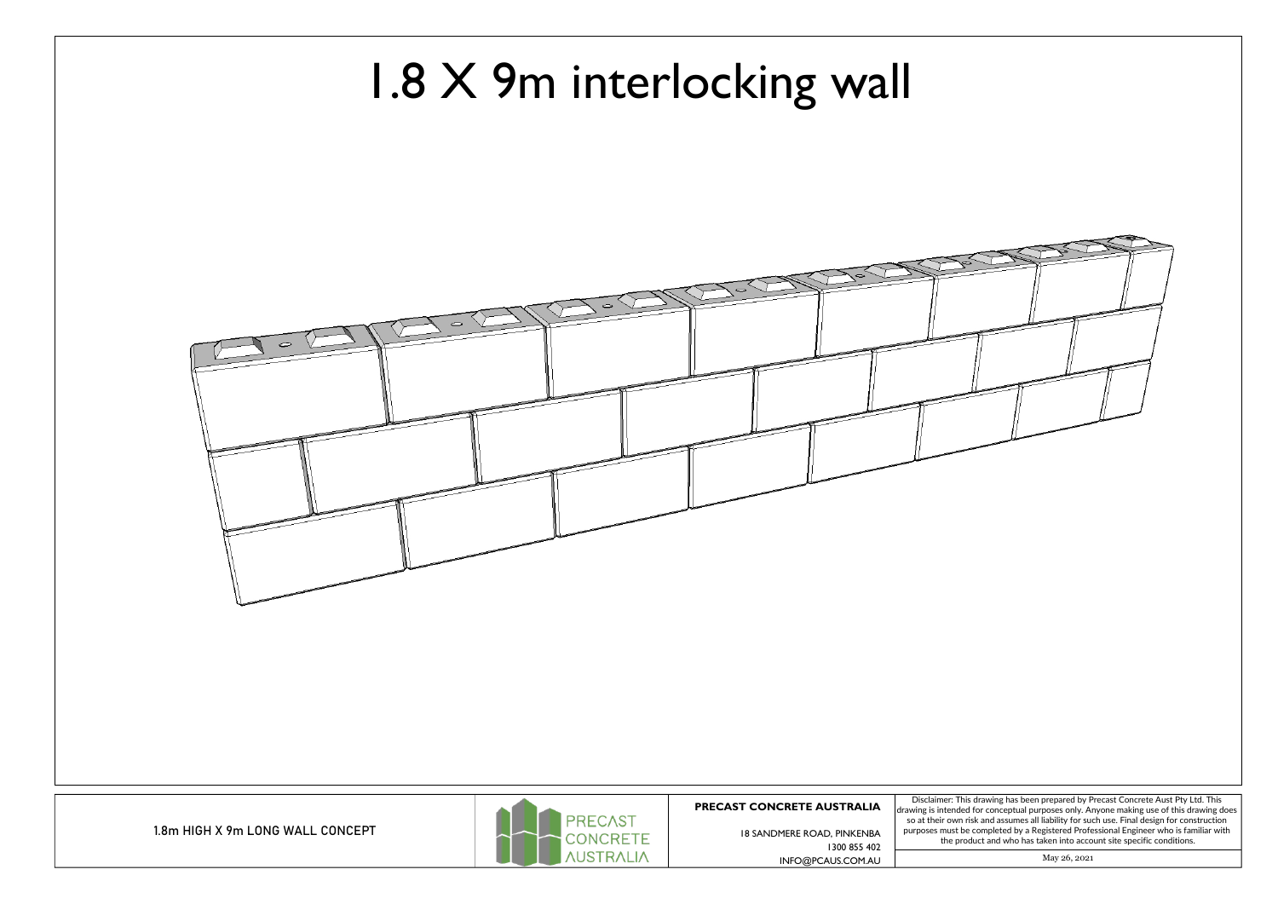1.8m HIGH X 9m LONG WALL CONCEPT



Disclaimer: This drawing has been prepared by Precast Concrete Aust Pty Ltd. This so at their own risk and assumes all liability for such use. Final design for construction purposes must be completed by <sup>a</sup> Registered Professional Engineer who is familiar with